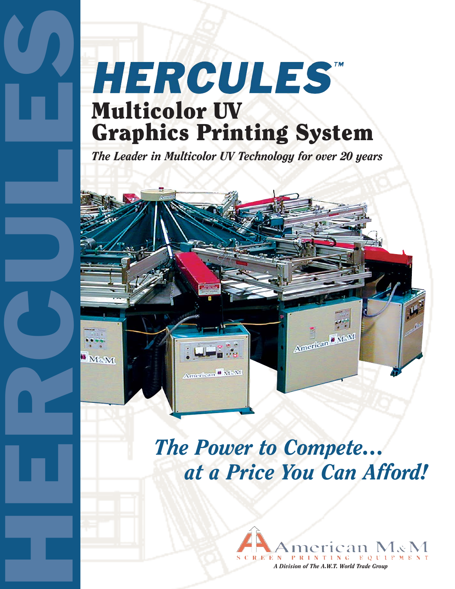# HERCULES Multicolor UV Graphics Printing System

*The Leader in Multicolor UV Technology for over 20 years*



## *The Power to Compete… at a Price You Can Afford!*

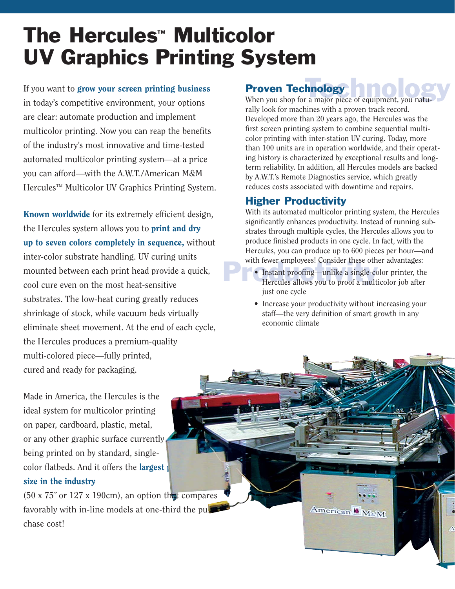## The Hercules™ Multicolor UV Graphics Printing System

If you want to grow your screen printing business in today's competitive environment, your options are clear: automate production and implement multicolor printing. Now you can reap the benefits of the industry's most innovative and time-tested automated multicolor printing system—at a price you can afford—with the A.W.T./American M&M Hercules™ Multicolor UV Graphics Printing System.

Known worldwide for its extremely efficient design, the Hercules system allows you to **print and dry** up to seven colors completely in sequence, without inter-color substrate handling. UV curing units mounted between each print head provide a quick, cool cure even on the most heat-sensitive substrates. The low-heat curing greatly reduces shrinkage of stock, while vacuum beds virtually eliminate sheet movement. At the end of each cycle, the Hercules produces a premium-quality multi-colored piece—fully printed, cured and ready for packaging.

Made in America, the Hercules is the ideal system for multicolor printing on paper, cardboard, plastic, metal, or any other graphic surface currently being printed on by standard, singlecolor flatbeds. And it offers the **largest**  $\mathbf{r}$ size in the industry

 $(50 \times 75^\circ \text{ or } 127 \times 190 \text{ cm})$ , an option that compares favorably with in-line models at one-third the pul chase cost!

#### Proven Technology

**Proven Technology**<br>When you shop for a major piece of equipment, you naturally look for machines with a proven track record. Developed more than 20 years ago, the Hercules was the first screen printing system to combine sequential multicolor printing with inter-station UV curing. Today, more than 100 units are in operation worldwide, and their operating history is characterized by exceptional results and longterm reliability. In addition, all Hercules models are backed by A.W.T.'s Remote Diagnostics service, which greatly reduces costs associated with downtime and repairs.

#### Higher Productivity

With its automated multicolor printing system, the Hercules significantly enhances productivity. Instead of running substrates through multiple cycles, the Hercules allows you to produce finished products in one cycle. In fact, with the Hercules, you can produce up to 600 pieces per hour—and with fewer employees! Consider these other advantages:

- **Production**<br>**•** Instant proofing—unlike a single-connection<br>Hercules allows you to proof a mult • Instant proofing—unlike a single-color printer, the Hercules allows you to proof a multicolor job after just one cycle
	- Increase your productivity without increasing your staff—the very definition of smart growth in any economic climate

American WM&M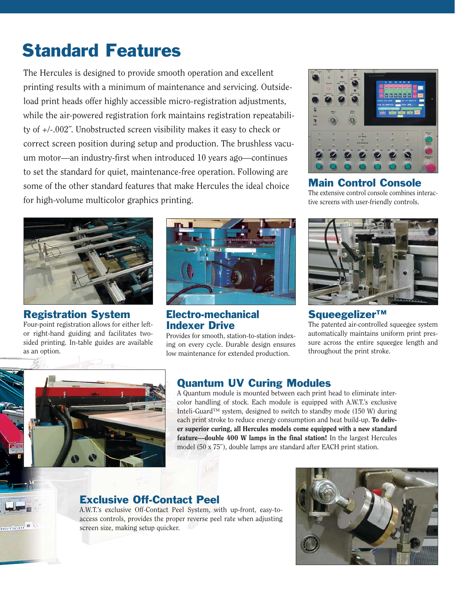### Standard Features

The Hercules is designed to provide smooth operation and excellent printing results with a minimum of maintenance and servicing. Outsideload print heads offer highly accessible micro-registration adjustments, while the air-powered registration fork maintains registration repeatability of +/-.002˝. Unobstructed screen visibility makes it easy to check or correct screen position during setup and production. The brushless vacuum motor—an industry-first when introduced 10 years ago—continues to set the standard for quiet, maintenance-free operation. Following are some of the other standard features that make Hercules the ideal choice for high-volume multicolor graphics printing.



Registration System Four-point registration allows for either leftor right-hand guiding and facilitates twosided printing. In-table guides are available as an option.



#### Electro-mechanical Indexer Drive

Provides for smooth, station-to-station indexing on every cycle. Durable design ensures low maintenance for extended production.



### Main Control Console

The extensive control console combines interactive screens with user-friendly controls.



#### Squeegelizer™

The patented air-controlled squeegee system automatically maintains uniform print pressure across the entire squeegee length and throughout the print stroke.



 $n$ erican $\blacksquare$ 

#### Quantum UV Curing Modules

A Quantum module is mounted between each print head to eliminate intercolor handling of stock. Each module is equipped with A.W.T.'s exclusive Inteli-Guard™ system, designed to switch to standby mode (150 W) during each print stroke to reduce energy consumption and heat build-up. To deliver superior curing, all Hercules models come equipped with a new standard feature—double 400 W lamps in the final station! In the largest Hercules model (50 x 75˝), double lamps are standard after EACH print station.

#### Exclusive Off-Contact Peel

A.W.T.'s exclusive Off-Contact Peel System, with up-front, easy-toaccess controls, provides the proper reverse peel rate when adjusting screen size, making setup quicker.

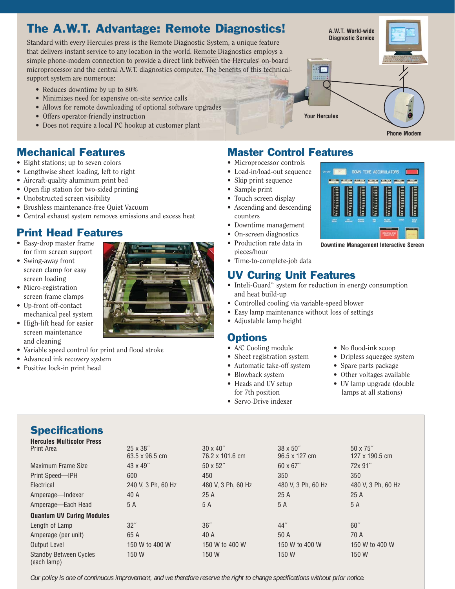### The A.W.T. Advantage: Remote Diagnostics!

Standard with every Hercules press is the Remote Diagnostic System, a unique feature that delivers instant service to any location in the world. Remote Diagnostics employs a simple phone-modem connection to provide a direct link between the Hercules' on-board microprocessor and the central A.W.T. diagnostics computer. The benefits of this technicalsupport system are numerous:

- Reduces downtime by up to 80%
- Minimizes need for expensive on-site service calls
- Allows for remote downloading of optional software upgrades
- Offers operator-friendly instruction
- Does not require a local PC hookup at customer plant

#### Mechanical Features

- Eight stations; up to seven colors
- Lengthwise sheet loading, left to right
- Aircraft-quality aluminum print bed
- Open flip station for two-sided printing
- Unobstructed screen visibility
- Brushless maintenance-free Quiet Vacuum
- Central exhaust system removes emissions and excess heat

#### Print Head Features

- Easy-drop master frame for firm screen support
- Swing-away front screen clamp for easy screen loading
- Micro-registration screen frame clamps
- Up-front off-contact mechanical peel system
- High-lift head for easier screen maintenance and cleaning
- Variable speed control for print and flood stroke
- Advanced ink recovery system
- Positive lock-in print head



#### Master Control Features

- Microprocessor controls
- Load-in/load-out sequence
- Skip print sequence
- Sample print
- Touch screen display • Ascending and descending
- counters
- Downtime management
- On-screen diagnostics
- Production rate data in pieces/hour
- Time-to-complete-job data

#### UV Curing Unit Features

- Inteli-Guard™ system for reduction in energy consumption and heat build-up
- Controlled cooling via variable-speed blower
- Easy lamp maintenance without loss of settings
- Adjustable lamp height

#### **Options**

- A/C Cooling module No flood-ink scoop
- Sheet registration system Dripless squeegee system
- Automatic take-off system Spare parts package
- 
- 
- Servo-Drive indexer
- 
- 

**Downtime Management Interactive Screen**

DOM: TTHE ACCUNILATOR

- 
- Blowback system Other voltages available
- Heads and UV setup UV lamp upgrade (double for 7th position lamps at all stations)

#### **Specifications**

| <b>Hercules Multicolor Press</b>             |                                    |                                     |                                             |                                    |
|----------------------------------------------|------------------------------------|-------------------------------------|---------------------------------------------|------------------------------------|
| Print Area                                   | $25 \times 38$ "<br>63.5 x 96.5 cm | $30 \times 40$ "<br>76.2 x 101.6 cm | $38 \times 50^{''}$<br>$96.5 \times 127$ cm | $50 \times 75$ "<br>127 x 190.5 cm |
| Maximum Frame Size                           | $43 \times 49$ "                   | $50 \times 52$ "                    | $60 \times 67$ "                            | 72x 91"                            |
| Print Speed-IPH                              | 600                                | 450                                 | 350                                         | 350                                |
| Electrical                                   | 240 V, 3 Ph, 60 Hz                 | 480 V, 3 Ph, 60 Hz                  | 480 V. 3 Ph. 60 Hz                          | 480 V, 3 Ph, 60 Hz                 |
| Amperage-Indexer                             | 40 A                               | 25A                                 | 25A                                         | 25A                                |
| Amperage—Each Head                           | 5 A                                | 5 A                                 | 5 A                                         | 5 A                                |
| <b>Quantum UV Curing Modules</b>             |                                    |                                     |                                             |                                    |
| Length of Lamp                               | 32"                                | 36"                                 | 44"                                         | 60''                               |
| Amperage (per unit)                          | 65 A                               | 40 A                                | 50 A                                        | 70 A                               |
| <b>Output Level</b>                          | 150 W to 400 W                     | 150 W to 400 W                      | 150 W to 400 W                              | 150 W to 400 W                     |
| <b>Standby Between Cycles</b><br>(each lamp) | 150 W                              | 150 W                               | 150 W                                       | 150 W                              |

*Our policy is one of continuous improvement, and we therefore reserve the right to change specifications without prior notice.*



**Your Hercules**

**Phone Modem**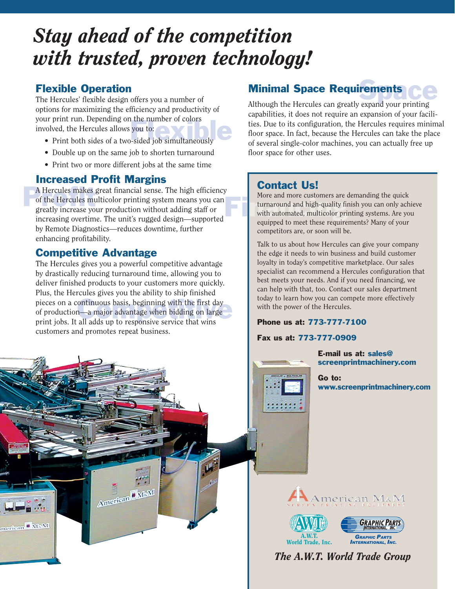## *Stay ahead of the competition with trusted, proven technology!*

#### Flexible Operation

Figure 1. The Hercules allows you to:<br>• Print both sides of a two-sided job simultaneously The Hercules' flexible design offers you a number of options for maximizing the efficiency and productivity of your print run. Depending on the number of colors involved, the Hercules allows you to:

- 
- Double up on the same job to shorten turnaround
- Print two or more different jobs at the same time

#### Increased Profit Margins

A Hercules makes great financial sense. The high efficiency<br>of the Hercules multicolor printing system means you can<br>greatly increase your production without adding staff or of the Hercules multicolor printing system means you can greatly increase your production without adding staff or increasing overtime. The unit's rugged design—supported by Remote Diagnostics—reduces downtime, further enhancing profitability.

#### Competitive Advantage

pieces on a continuous basis, beginning with the first day<br>of production—a major advantage when bidding on large<br>print iobs. It all adds up to responsive service that wins The Hercules gives you a powerful competitive advantage by drastically reducing turnaround time, allowing you to deliver finished products to your customers more quickly. Plus, the Hercules gives you the ability to ship finished of production—a major advantage when bidding on large print jobs. It all adds up to responsive service that wins customers and promotes repeat business.

American MaM

merican II MaM

#### rements Ce Minimal Space Requirements

Although the Hercules can greatly expand your printing capabilities, it does not require an expansion of your facilities. Due to its configuration, the Hercules requires minimal floor space. In fact, because the Hercules can take the place of several single-color machines, you can actually free up floor space for other uses.

#### Contact Us!

Financial more customers are the turnaround and high-quality finds with automated, multicolor pri More and more customers are demanding the quick turnaround and high-quality finish you can only achieve with automated, multicolor printing systems. Are you equipped to meet these requirements? Many of your competitors are, or soon will be.

> Talk to us about how Hercules can give your company the edge it needs to win business and build customer loyalty in today's competitive marketplace. Our sales specialist can recommend a Hercules configuration that best meets your needs. And if you need financing, we can help with that, too. Contact our sales department today to learn how you can compete more effectively with the power of the Hercules.

#### Phone us at: 773-777-7100

#### Fax us at: 773-777-0909

::::::

E-mail us at: sales@ screenprintmachinery.com

Go to: www.screenprintmachinery.com







*The A.W.T. World Trade Group*